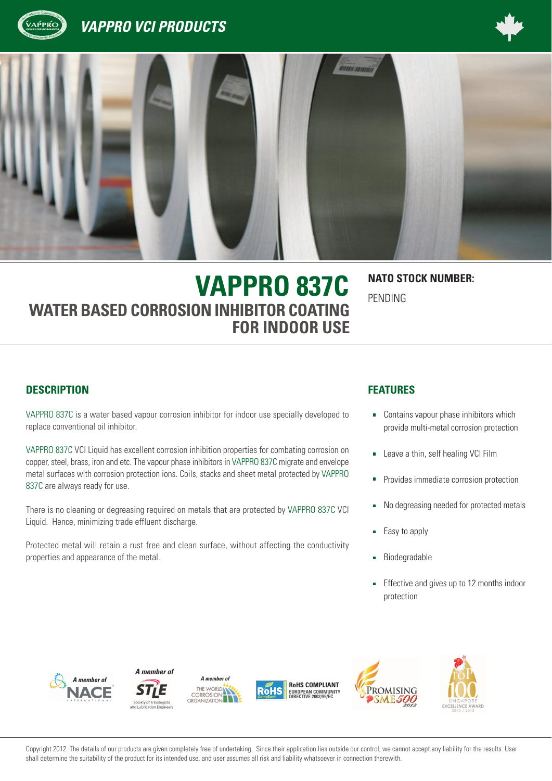





# **VAPPRO 837C NATO STOCK NUMBER: WATER BASED CORROSION INHIBITOR COATING FOR INDOOR USE**

PENDING

#### **DESCRIPTION FEATURES**

VAPPRO 837C is a water based vapour corrosion inhibitor for indoor use specially developed to replace conventional oil inhibitor.

VAPPRO 837C VCI Liquid has excellent corrosion inhibition properties for combating corrosion on copper, steel, brass, iron and etc. The vapour phase inhibitors in VAPPRO 837C migrate and envelope metal surfaces with corrosion protection ions. Coils, stacks and sheet metal protected by VAPPRO 837C are always ready for use.

There is no cleaning or degreasing required on metals that are protected by VAPPRO 837C VCI Liquid. Hence, minimizing trade effluent discharge.

Protected metal will retain a rust free and clean surface, without affecting the conductivity properties and appearance of the metal.

- **-** Contains vapour phase inhibitors which provide multi-metal corrosion protection
- Leave a thin, self healing VCI Film  $\blacksquare$
- Provides immediate corrosion protection
- No degreasing needed for protected metals  $\blacksquare$
- Easy to apply à,
- Biodegradable ٠
- Effective and gives up to 12 months indoor  $\blacksquare$ protection













Copyright 2012. The details of our products are given completely free of undertaking. Since their application lies outside our control, we cannot accept any liability for the results. User shall determine the suitability of the product for its intended use, and user assumes all risk and liability whatsoever in connection therewith.